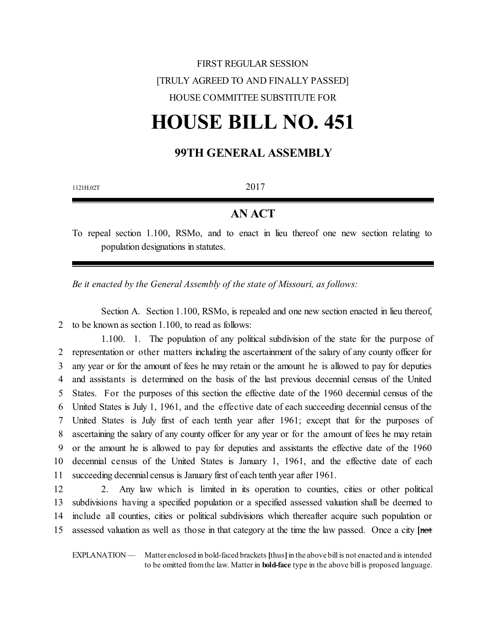## FIRST REGULAR SESSION [TRULY AGREED TO AND FINALLY PASSED] HOUSE COMMITTEE SUBSTITUTE FOR

# **HOUSE BILL NO. 451**

### **99TH GENERAL ASSEMBLY**

| 2017 |  |
|------|--|
|      |  |

#### **AN ACT**

To repeal section 1.100, RSMo, and to enact in lieu thereof one new section relating to population designations in statutes.

*Be it enacted by the General Assembly of the state of Missouri, as follows:*

Section A. Section 1.100, RSMo, is repealed and one new section enacted in lieu thereof, 2 to be known as section 1.100, to read as follows:

1.100. 1. The population of any political subdivision of the state for the purpose of representation or other matters including the ascertainment of the salary of any county officer for any year or for the amount of fees he may retain or the amount he is allowed to pay for deputies and assistants is determined on the basis of the last previous decennial census of the United States. For the purposes of this section the effective date of the 1960 decennial census of the United States is July 1, 1961, and the effective date of each succeeding decennial census of the United States is July first of each tenth year after 1961; except that for the purposes of ascertaining the salary of any county officer for any year or for the amount of fees he may retain or the amount he is allowed to pay for deputies and assistants the effective date of the 1960 decennial census of the United States is January 1, 1961, and the effective date of each succeeding decennial census is January first of each tenth year after 1961.

 2. Any law which is limited in its operation to counties, cities or other political subdivisions having a specified population or a specified assessed valuation shall be deemed to include all counties, cities or political subdivisions which thereafter acquire such population or assessed valuation as well as those in that category at the time the law passed. Once a city **[**not

EXPLANATION — Matter enclosed in bold-faced brackets **[**thus**]**in the above bill is not enacted and is intended to be omitted fromthe law. Matter in **bold-face** type in the above bill is proposed language.